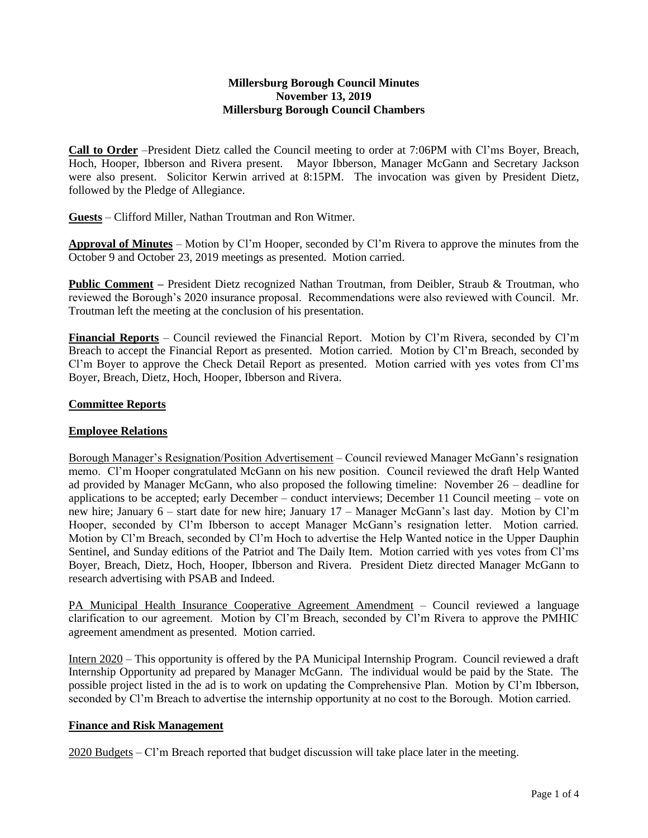#### **Millersburg Borough Council Minutes November 13, 2019 Millersburg Borough Council Chambers**

**Call to Order** –President Dietz called the Council meeting to order at 7:06PM with Cl'ms Boyer, Breach, Hoch, Hooper, Ibberson and Rivera present. Mayor Ibberson, Manager McGann and Secretary Jackson were also present. Solicitor Kerwin arrived at 8:15PM. The invocation was given by President Dietz, followed by the Pledge of Allegiance.

**Guests** – Clifford Miller, Nathan Troutman and Ron Witmer.

**Approval of Minutes** – Motion by Cl'm Hooper, seconded by Cl'm Rivera to approve the minutes from the October 9 and October 23, 2019 meetings as presented. Motion carried.

**Public Comment –** President Dietz recognized Nathan Troutman, from Deibler, Straub & Troutman, who reviewed the Borough's 2020 insurance proposal. Recommendations were also reviewed with Council. Mr. Troutman left the meeting at the conclusion of his presentation.

**Financial Reports** – Council reviewed the Financial Report. Motion by Cl'm Rivera, seconded by Cl'm Breach to accept the Financial Report as presented. Motion carried. Motion by Cl'm Breach, seconded by Cl'm Boyer to approve the Check Detail Report as presented. Motion carried with yes votes from Cl'ms Boyer, Breach, Dietz, Hoch, Hooper, Ibberson and Rivera.

### **Committee Reports**

### **Employee Relations**

Borough Manager's Resignation/Position Advertisement – Council reviewed Manager McGann's resignation memo. Cl'm Hooper congratulated McGann on his new position. Council reviewed the draft Help Wanted ad provided by Manager McGann, who also proposed the following timeline: November 26 – deadline for applications to be accepted; early December – conduct interviews; December 11 Council meeting – vote on new hire; January 6 – start date for new hire; January 17 – Manager McGann's last day. Motion by Cl'm Hooper, seconded by Cl'm Ibberson to accept Manager McGann's resignation letter. Motion carried. Motion by Cl'm Breach, seconded by Cl'm Hoch to advertise the Help Wanted notice in the Upper Dauphin Sentinel, and Sunday editions of the Patriot and The Daily Item. Motion carried with yes votes from Cl'ms Boyer, Breach, Dietz, Hoch, Hooper, Ibberson and Rivera. President Dietz directed Manager McGann to research advertising with PSAB and Indeed.

PA Municipal Health Insurance Cooperative Agreement Amendment – Council reviewed a language clarification to our agreement. Motion by Cl'm Breach, seconded by Cl'm Rivera to approve the PMHIC agreement amendment as presented. Motion carried.

Intern 2020 – This opportunity is offered by the PA Municipal Internship Program. Council reviewed a draft Internship Opportunity ad prepared by Manager McGann. The individual would be paid by the State. The possible project listed in the ad is to work on updating the Comprehensive Plan. Motion by Cl'm Ibberson, seconded by Cl'm Breach to advertise the internship opportunity at no cost to the Borough. Motion carried.

### **Finance and Risk Management**

2020 Budgets – Cl'm Breach reported that budget discussion will take place later in the meeting.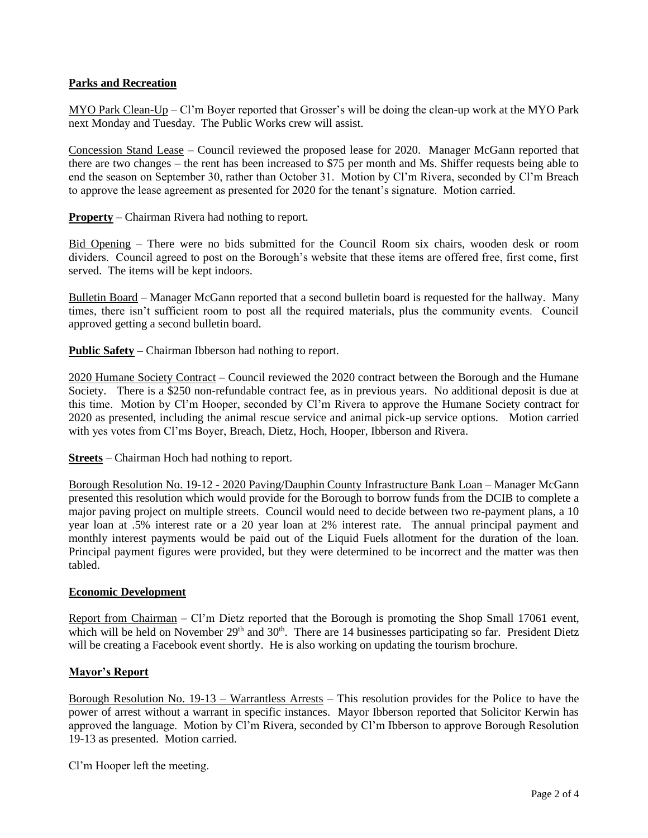# **Parks and Recreation**

MYO Park Clean-Up – Cl'm Boyer reported that Grosser's will be doing the clean-up work at the MYO Park next Monday and Tuesday. The Public Works crew will assist.

Concession Stand Lease – Council reviewed the proposed lease for 2020. Manager McGann reported that there are two changes – the rent has been increased to \$75 per month and Ms. Shiffer requests being able to end the season on September 30, rather than October 31. Motion by Cl'm Rivera, seconded by Cl'm Breach to approve the lease agreement as presented for 2020 for the tenant's signature. Motion carried.

**Property** – Chairman Rivera had nothing to report.

Bid Opening – There were no bids submitted for the Council Room six chairs, wooden desk or room dividers. Council agreed to post on the Borough's website that these items are offered free, first come, first served. The items will be kept indoors.

Bulletin Board – Manager McGann reported that a second bulletin board is requested for the hallway. Many times, there isn't sufficient room to post all the required materials, plus the community events. Council approved getting a second bulletin board.

**Public Safety –** Chairman Ibberson had nothing to report.

2020 Humane Society Contract – Council reviewed the 2020 contract between the Borough and the Humane Society. There is a \$250 non-refundable contract fee, as in previous years. No additional deposit is due at this time. Motion by Cl'm Hooper, seconded by Cl'm Rivera to approve the Humane Society contract for 2020 as presented, including the animal rescue service and animal pick-up service options. Motion carried with yes votes from Cl'ms Boyer, Breach, Dietz, Hoch, Hooper, Ibberson and Rivera.

**Streets** – Chairman Hoch had nothing to report.

Borough Resolution No. 19-12 - 2020 Paving/Dauphin County Infrastructure Bank Loan – Manager McGann presented this resolution which would provide for the Borough to borrow funds from the DCIB to complete a major paving project on multiple streets. Council would need to decide between two re-payment plans, a 10 year loan at .5% interest rate or a 20 year loan at 2% interest rate. The annual principal payment and monthly interest payments would be paid out of the Liquid Fuels allotment for the duration of the loan. Principal payment figures were provided, but they were determined to be incorrect and the matter was then tabled.

### **Economic Development**

Report from Chairman – Cl'm Dietz reported that the Borough is promoting the Shop Small 17061 event, which will be held on November 29<sup>th</sup> and 30<sup>th</sup>. There are 14 businesses participating so far. President Dietz will be creating a Facebook event shortly. He is also working on updating the tourism brochure.

### **Mayor's Report**

Borough Resolution No. 19-13 – Warrantless Arrests – This resolution provides for the Police to have the power of arrest without a warrant in specific instances. Mayor Ibberson reported that Solicitor Kerwin has approved the language. Motion by Cl'm Rivera, seconded by Cl'm Ibberson to approve Borough Resolution 19-13 as presented. Motion carried.

Cl'm Hooper left the meeting.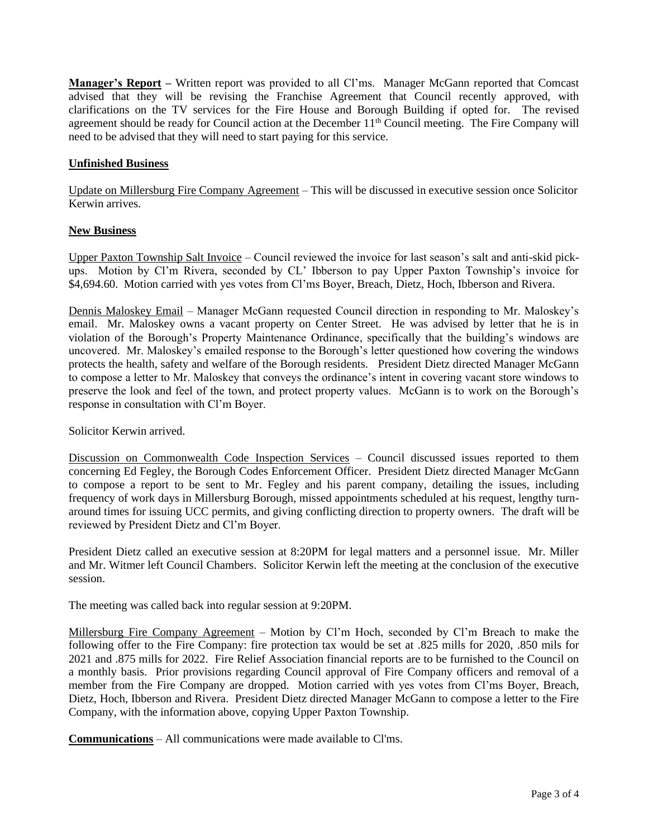**Manager's Report –** Written report was provided to all Cl'ms. Manager McGann reported that Comcast advised that they will be revising the Franchise Agreement that Council recently approved, with clarifications on the TV services for the Fire House and Borough Building if opted for. The revised agreement should be ready for Council action at the December 11<sup>th</sup> Council meeting. The Fire Company will need to be advised that they will need to start paying for this service.

# **Unfinished Business**

Update on Millersburg Fire Company Agreement – This will be discussed in executive session once Solicitor Kerwin arrives.

### **New Business**

Upper Paxton Township Salt Invoice – Council reviewed the invoice for last season's salt and anti-skid pickups. Motion by Cl'm Rivera, seconded by CL' Ibberson to pay Upper Paxton Township's invoice for \$4,694.60. Motion carried with yes votes from Cl'ms Boyer, Breach, Dietz, Hoch, Ibberson and Rivera.

Dennis Maloskey Email – Manager McGann requested Council direction in responding to Mr. Maloskey's email. Mr. Maloskey owns a vacant property on Center Street. He was advised by letter that he is in violation of the Borough's Property Maintenance Ordinance, specifically that the building's windows are uncovered. Mr. Maloskey's emailed response to the Borough's letter questioned how covering the windows protects the health, safety and welfare of the Borough residents. President Dietz directed Manager McGann to compose a letter to Mr. Maloskey that conveys the ordinance's intent in covering vacant store windows to preserve the look and feel of the town, and protect property values. McGann is to work on the Borough's response in consultation with Cl'm Boyer.

Solicitor Kerwin arrived.

Discussion on Commonwealth Code Inspection Services – Council discussed issues reported to them concerning Ed Fegley, the Borough Codes Enforcement Officer. President Dietz directed Manager McGann to compose a report to be sent to Mr. Fegley and his parent company, detailing the issues, including frequency of work days in Millersburg Borough, missed appointments scheduled at his request, lengthy turnaround times for issuing UCC permits, and giving conflicting direction to property owners. The draft will be reviewed by President Dietz and Cl'm Boyer.

President Dietz called an executive session at 8:20PM for legal matters and a personnel issue. Mr. Miller and Mr. Witmer left Council Chambers. Solicitor Kerwin left the meeting at the conclusion of the executive session.

The meeting was called back into regular session at 9:20PM.

Millersburg Fire Company Agreement – Motion by Cl'm Hoch, seconded by Cl'm Breach to make the following offer to the Fire Company: fire protection tax would be set at .825 mills for 2020, .850 mils for 2021 and .875 mills for 2022. Fire Relief Association financial reports are to be furnished to the Council on a monthly basis. Prior provisions regarding Council approval of Fire Company officers and removal of a member from the Fire Company are dropped. Motion carried with yes votes from Cl'ms Boyer, Breach, Dietz, Hoch, Ibberson and Rivera. President Dietz directed Manager McGann to compose a letter to the Fire Company, with the information above, copying Upper Paxton Township.

**Communications** – All communications were made available to Cl'ms.